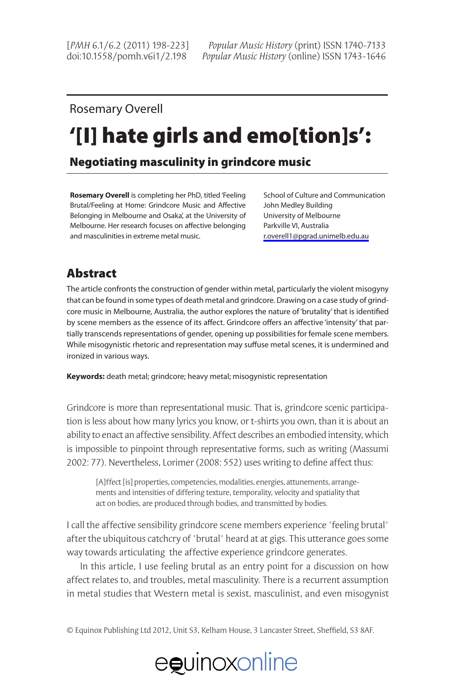## Rosemary Overell '[I] hate girls and emo[tion]s':

Negotiating masculinity in grindcore music

**Rosemary Overell** is completing her PhD, titled 'Feeling Brutal/Feeling at Home: Grindcore Music and Affective Belonging in Melbourne and Osaka', at the University of Melbourne. Her research focuses on affective belonging and masculinities in extreme metal music.

School of Culture and Communication John Medley Building University of Melbourne Parkville VI, Australia [r.overell1@pgrad.unimelb.edu.au](mailto:r.overell1@pgrad.unimelb.edu.au)

## Abstract

The article confronts the construction of gender within metal, particularly the violent misogyny that can be found in some types of death metal and grindcore. Drawing on a case study of grindcore music in Melbourne, Australia, the author explores the nature of 'brutality' that is identified by scene members as the essence of its affect. Grindcore offers an affective 'intensity' that partially transcends representations of gender, opening up possibilities for female scene members. While misogynistic rhetoric and representation may suffuse metal scenes, it is undermined and ironized in various ways.

**Keywords:** death metal; grindcore; heavy metal; misogynistic representation

Grindcore is more than representational music. That is, grindcore scenic participation is less about how many lyrics you know, or t-shirts you own, than it is about an ability to enact an affective sensibility. Affect describes an embodied intensity, which is impossible to pinpoint through representative forms, such as writing (Massumi 2002: 77). Nevertheless, Lorimer (2008: 552) uses writing to define affect thus:

[A]ffect [is] properties, competencies, modalities, energies, attunements, arrangements and intensities of differing texture, temporality, velocity and spatiality that act on bodies, are produced through bodies, and transmitted by bodies.

I call the affective sensibility grindcore scene members experience 'feeling brutal' after the ubiquitous catchcry of 'brutal' heard at at gigs. This utterance goes some way towards articulating the affective experience grindcore generates.

In this article, I use feeling brutal as an entry point for a discussion on how affect relates to, and troubles, metal masculinity. There is a recurrent assumption in metal studies that Western metal is sexist, masculinist, and even misogynist

© Equinox Publishing Ltd 2012, Unit S3, Kelham House, 3 Lancaster Street, Sheffield, S3 8AF.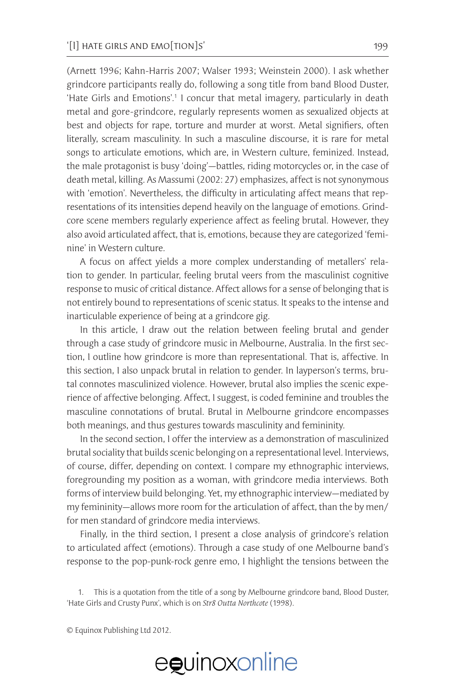(Arnett 1996; Kahn-Harris 2007; Walser 1993; Weinstein 2000). I ask whether grindcore participants really do, following a song title from band Blood Duster, 'Hate Girls and Emotions'.1 I concur that metal imagery, particularly in death metal and gore-grindcore, regularly represents women as sexualized objects at best and objects for rape, torture and murder at worst. Metal signifiers, often literally, scream masculinity. In such a masculine discourse, it is rare for metal songs to articulate emotions, which are, in Western culture, feminized. Instead, the male protagonist is busy 'doing'—battles, riding motorcycles or, in the case of death metal, killing. As Massumi (2002: 27) emphasizes, affect is not synonymous with 'emotion'. Nevertheless, the difficulty in articulating affect means that representations of its intensities depend heavily on the language of emotions. Grindcore scene members regularly experience affect as feeling brutal. However, they also avoid articulated affect, that is, emotions, because they are categorized 'feminine' in Western culture.

A focus on affect yields a more complex understanding of metallers' relation to gender. In particular, feeling brutal veers from the masculinist cognitive response to music of critical distance. Affect allows for a sense of belonging that is not entirely bound to representations of scenic status. It speaks to the intense and inarticulable experience of being at a grindcore gig.

In this article, I draw out the relation between feeling brutal and gender through a case study of grindcore music in Melbourne, Australia. In the first section, I outline how grindcore is more than representational. That is, affective. In this section, I also unpack brutal in relation to gender. In layperson's terms, brutal connotes masculinized violence. However, brutal also implies the scenic experience of affective belonging. Affect, I suggest, is coded feminine and troubles the masculine connotations of brutal. Brutal in Melbourne grindcore encompasses both meanings, and thus gestures towards masculinity and femininity.

In the second section, I offer the interview as a demonstration of masculinized brutal sociality that builds scenic belonging on a representational level. Interviews, of course, differ, depending on context. I compare my ethnographic interviews, foregrounding my position as a woman, with grindcore media interviews. Both forms of interview build belonging. Yet, my ethnographic interview—mediated by my femininity—allows more room for the articulation of affect, than the by men/ for men standard of grindcore media interviews.

Finally, in the third section, I present a close analysis of grindcore's relation to articulated affect (emotions). Through a case study of one Melbourne band's response to the pop-punk-rock genre emo, I highlight the tensions between the

1. This is a quotation from the title of a song by Melbourne grindcore band, Blood Duster, 'Hate Girls and Crusty Punx', which is on *Str8 Outta Northcote* (1998).

© Equinox Publishing Ltd 2012.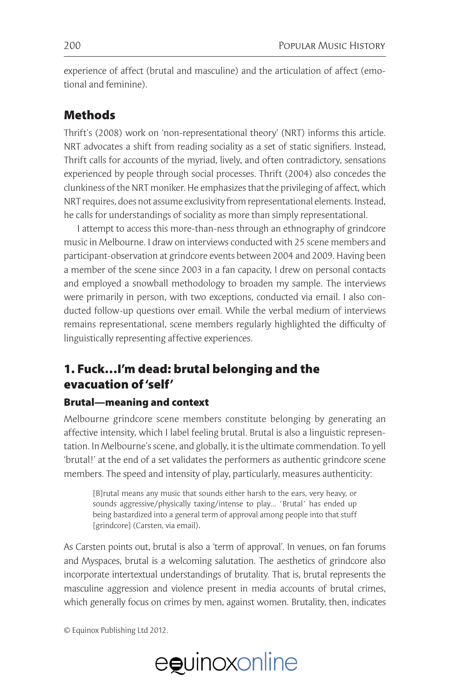experience of affect (brutal and masculine) and the articulation of affect (emotional and feminine).

## **Methods**

Thrift's (2008) work on 'non-representational theory' (NRT) informs this article. NRT advocates a shift from reading sociality as a set of static signifiers. Instead, Thrift calls for accounts of the myriad, lively, and often contradictory, sensations experienced by people through social processes. Thrift (2004) also concedes the clunkiness of the NRT moniker. He emphasizes that the privileging of affect, which NRT requires, does not assume exclusivity from representational elements. Instead, he calls for understandings of sociality as more than simply representational.

I attempt to access this more-than-ness through an ethnography of grindcore music in Melbourne. I draw on interviews conducted with 25 scene members and participant-observation at grindcore events between 2004 and 2009. Having been a member of the scene since 2003 in a fan capacity, I drew on personal contacts and employed a snowball methodology to broaden my sample. The interviews were primarily in person, with two exceptions, conducted via email. I also conducted follow-up questions over email. While the verbal medium of interviews remains representational, scene members regularly highlighted the difficulty of linguistically representing affective experiences.

## 1. Fuck…I'm dead: brutal belonging and the evacuation of 'self'

## Brutal—meaning and context

Melbourne grindcore scene members constitute belonging by generating an affective intensity, which I label feeling brutal. Brutal is also a linguistic representation. In Melbourne's scene, and globally, it is the ultimate commendation. To yell 'brutal!' at the end of a set validates the performers as authentic grindcore scene members. The speed and intensity of play, particularly, measures authenticity:

[B]rutal means any music that sounds either harsh to the ears, very heavy, or sounds aggressive/physically taxing/intense to play… 'Brutal' has ended up being bastardized into a general term of approval among people into that stuff [grindcore] (Carsten, via email).

As Carsten points out, brutal is also a 'term of approval'. In venues, on fan forums and Myspaces, brutal is a welcoming salutation. The aesthetics of grindcore also incorporate intertextual understandings of brutality. That is, brutal represents the masculine aggression and violence present in media accounts of brutal crimes, which generally focus on crimes by men, against women. Brutality, then, indicates

© Equinox Publishing Ltd 2012.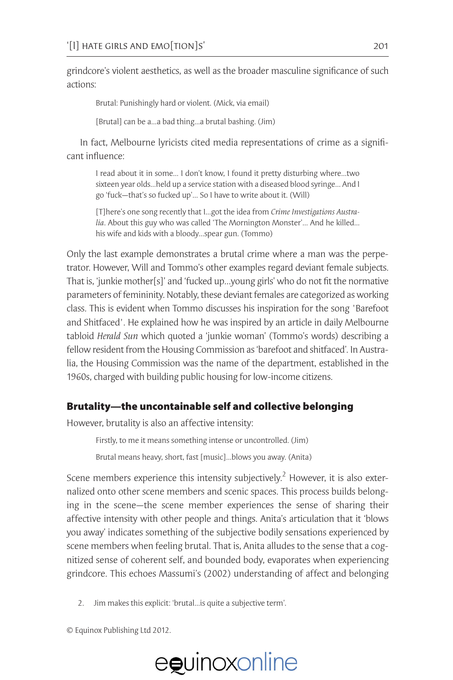grindcore's violent aesthetics, as well as the broader masculine significance of such actions:

Brutal: Punishingly hard or violent. (Mick, via email)

[Brutal] can be a…a bad thing…a brutal bashing. (Jim)

In fact, Melbourne lyricists cited media representations of crime as a significant influence:

I read about it in some… I don't know, I found it pretty disturbing where…two sixteen year olds…held up a service station with a diseased blood syringe… And I go 'fuck—that's so fucked up'… So I have to write about it. (Will)

[T]here's one song recently that I…got the idea from *Crime Investigations Australia*. About this guy who was called 'The Mornington Monster'… And he killed… his wife and kids with a bloody…spear gun. (Tommo)

Only the last example demonstrates a brutal crime where a man was the perpetrator. However, Will and Tommo's other examples regard deviant female subjects. That is, 'junkie mother[s]' and 'fucked up…young girls' who do not fit the normative parameters of femininity. Notably, these deviant females are categorized as working class. This is evident when Tommo discusses his inspiration for the song 'Barefoot and Shitfaced'. He explained how he was inspired by an article in daily Melbourne tabloid *Herald Sun* which quoted a 'junkie woman' (Tommo's words) describing a fellow resident from the Housing Commission as 'barefoot and shitfaced'. In Australia, the Housing Commission was the name of the department, established in the 1960s, charged with building public housing for low-income citizens.

### Brutality—the uncontainable self and collective belonging

However, brutality is also an affective intensity:

Firstly, to me it means something intense or uncontrolled. (Jim) Brutal means heavy, short, fast [music]…blows you away. (Anita)

Scene members experience this intensity subjectively.<sup>2</sup> However, it is also externalized onto other scene members and scenic spaces. This process builds belonging in the scene—the scene member experiences the sense of sharing their affective intensity with other people and things. Anita's articulation that it 'blows you away' indicates something of the subjective bodily sensations experienced by scene members when feeling brutal. That is, Anita alludes to the sense that a cognitized sense of coherent self, and bounded body, evaporates when experiencing grindcore. This echoes Massumi's (2002) understanding of affect and belonging

2. Jim makes this explicit: 'brutal…is quite a subjective term'.

© Equinox Publishing Ltd 2012.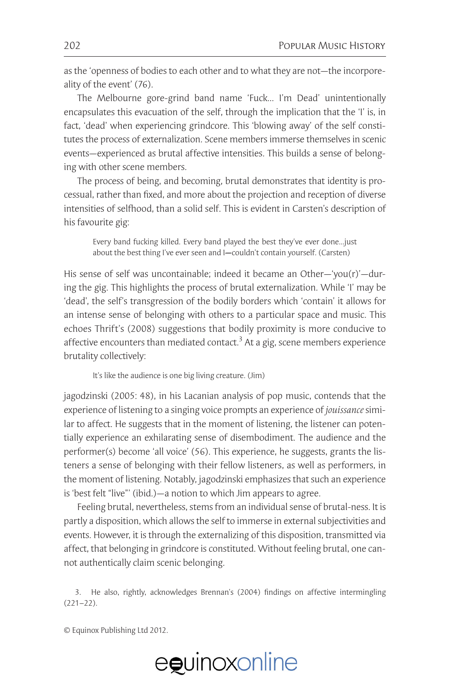as the 'openness of bodies to each other and to what they are not—the incorporeality of the event' (76).

The Melbourne gore-grind band name 'Fuck… I'm Dead' unintentionally encapsulates this evacuation of the self, through the implication that the 'I' is, in fact, 'dead' when experiencing grindcore. This 'blowing away' of the self constitutes the process of externalization. Scene members immerse themselves in scenic events—experienced as brutal affective intensities. This builds a sense of belonging with other scene members.

The process of being, and becoming, brutal demonstrates that identity is processual, rather than fixed, and more about the projection and reception of diverse intensities of selfhood, than a solid self. This is evident in Carsten's description of his favourite gig:

Every band fucking killed. Every band played the best they've ever done…just about the best thing I've ever seen and I**—**couldn't contain yourself. (Carsten)

His sense of self was uncontainable; indeed it became an Other—'you(r)'—during the gig. This highlights the process of brutal externalization. While 'I' may be 'dead', the self's transgression of the bodily borders which 'contain' it allows for an intense sense of belonging with others to a particular space and music. This echoes Thrift's (2008) suggestions that bodily proximity is more conducive to affective encounters than mediated contact. $^3$  At a gig, scene members experience brutality collectively:

It's like the audience is one big living creature. (Jim)

jagodzinski (2005: 48), in his Lacanian analysis of pop music, contends that the experience of listening to a singing voice prompts an experience of *jouissance* similar to affect. He suggests that in the moment of listening, the listener can potentially experience an exhilarating sense of disembodiment. The audience and the performer(s) become 'all voice' (56). This experience, he suggests, grants the listeners a sense of belonging with their fellow listeners, as well as performers, in the moment of listening. Notably, jagodzinski emphasizes that such an experience is 'best felt "live"' (ibid.)—a notion to which Jim appears to agree.

Feeling brutal, nevertheless, stems from an individual sense of brutal-ness. It is partly a disposition, which allows the self to immerse in external subjectivities and events. However, it is through the externalizing of this disposition, transmitted via affect, that belonging in grindcore is constituted. Without feeling brutal, one cannot authentically claim scenic belonging.

3. He also, rightly, acknowledges Brennan's (2004) findings on affective intermingling (221–22).

© Equinox Publishing Ltd 2012.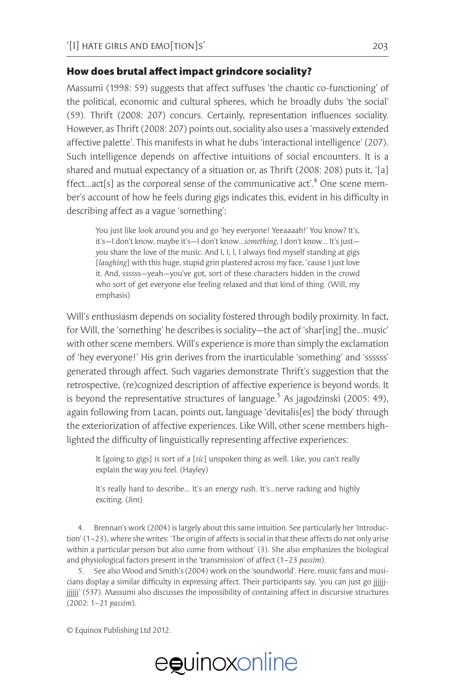### How does brutal affect impact grindcore sociality?

Massumi (1998: 59) suggests that affect suffuses 'the chaotic co-functioning' of the political, economic and cultural spheres, which he broadly dubs 'the social' (59). Thrift (2008: 207) concurs. Certainly, representation influences sociality. However, as Thrift (2008: 207) points out, sociality also uses a 'massively extended affective palette'. This manifests in what he dubs 'interactional intelligence' (207). Such intelligence depends on affective intuitions of social encounters. It is a shared and mutual expectancy of a situation or, as Thrift (2008: 208) puts it, '[a] ffect…act[s] as the corporeal sense of the communicative act'.4 One scene member's account of how he feels during gigs indicates this, evident in his difficulty in describing affect as a vague 'something':

You just like look around you and go 'hey everyone! Yeeaaaah!' You know? It's, it's—I don't know, maybe it's—I don't know…*something*, I don't know… It's just you share the love of the music. And I, I, I, I always find myself standing at gigs [*laughing*] with this huge, stupid grin plastered across my face, 'cause I just love it. And, ssssss—yeah—you've got, sort of these characters hidden in the crowd who sort of get everyone else feeling relaxed and that kind of thing. (Will, my emphasis)

Will's enthusiasm depends on sociality fostered through bodily proximity. In fact, for Will, the 'something' he describes is sociality—the act of 'shar[ing] the…music' with other scene members. Will's experience is more than simply the exclamation of 'hey everyone!' His grin derives from the inarticulable 'something' and 'ssssss' generated through affect. Such vagaries demonstrate Thrift's suggestion that the retrospective, (re)cognized description of affective experience is beyond words. It is beyond the representative structures of language.<sup>5</sup> As jagodzinski (2005: 49), again following from Lacan, points out, language 'devitalis[es] the body' through the exteriorization of affective experiences. Like Will, other scene members highlighted the difficulty of linguistically representing affective experiences:

It [going to gigs] is sort of a [*sic*] unspoken thing as well. Like, you can't really explain the way you feel. (Hayley)

It's really hard to describe… It's an energy rush. It's…nerve racking and highly exciting. (Jim)

4. Brennan's work (2004) is largely about this same intuition. See particularly her 'Introduction' (1–23), where she writes: 'The origin of affects is social in that these affects do not only arise within a particular person but also come from without' (3). She also emphasizes the biological and physiological factors present in the 'transmission' of affect (1–23 *passim*).

5. See also Wood and Smith's (2004) work on the 'soundworld'. Here, music fans and musicians display a similar difficulty in expressing affect. Their participants say, 'you can just go jjjjjjjjjjjj' (537). Massumi also discusses the impossibility of containing affect in discursive structures (2002: 1–21 *passim*).

© Equinox Publishing Ltd 2012.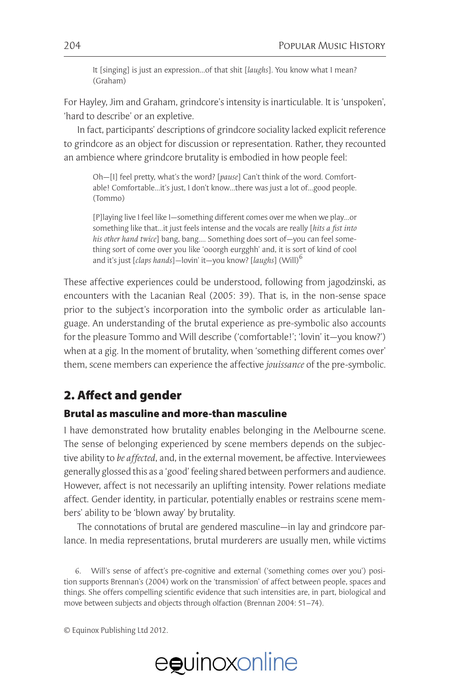It [singing] is just an expression…of that shit [*laughs*]. You know what I mean? (Graham)

For Hayley, Jim and Graham, grindcore's intensity is inarticulable. It is 'unspoken', 'hard to describe' or an expletive.

In fact, participants' descriptions of grindcore sociality lacked explicit reference to grindcore as an object for discussion or representation. Rather, they recounted an ambience where grindcore brutality is embodied in how people feel:

Oh—[I] feel pretty, what's the word? [*pause*] Can't think of the word. Comfortable! Comfortable…it's just, I don't know…there was just a lot of…good people. (Tommo)

[P]laying live I feel like I—something different comes over me when we play…or something like that…it just feels intense and the vocals are really [*hits a fist into his other hand twice*] bang, bang.… Something does sort of—you can feel something sort of come over you like 'ooorgh eurgghh' and, it is sort of kind of cool and it's just [*claps hands*]—lovin' it—you know? [*laughs*] (Will)<sup>6</sup>

These affective experiences could be understood, following from jagodzinski, as encounters with the Lacanian Real (2005: 39). That is, in the non-sense space prior to the subject's incorporation into the symbolic order as articulable language. An understanding of the brutal experience as pre-symbolic also accounts for the pleasure Tommo and Will describe ('comfortable!'; 'lovin' it—you know?') when at a gig. In the moment of brutality, when 'something different comes over' them, scene members can experience the affective *jouissance* of the pre-symbolic.

## 2. Affect and gender

### Brutal as masculine and more-than masculine

I have demonstrated how brutality enables belonging in the Melbourne scene. The sense of belonging experienced by scene members depends on the subjective ability to *be affected*, and, in the external movement, be affective. Interviewees generally glossed this as a 'good' feeling shared between performers and audience. However, affect is not necessarily an uplifting intensity. Power relations mediate affect. Gender identity, in particular, potentially enables or restrains scene members' ability to be 'blown away' by brutality.

The connotations of brutal are gendered masculine—in lay and grindcore parlance. In media representations, brutal murderers are usually men, while victims

6. Will's sense of affect's pre-cognitive and external ('something comes over you') position supports Brennan's (2004) work on the 'transmission' of affect between people, spaces and things. She offers compelling scientific evidence that such intensities are, in part, biological and move between subjects and objects through olfaction (Brennan 2004: 51–74).

© Equinox Publishing Ltd 2012.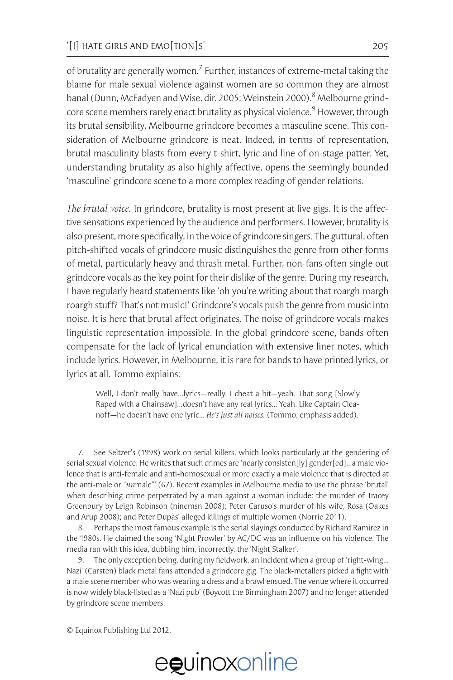of brutality are generally women.<sup>7</sup> Further, instances of extreme-metal taking the blame for male sexual violence against women are so common they are almost banal (Dunn, McFadyen and Wise, dir. 2005; Weinstein 2000).<sup>8</sup> Melbourne grindcore scene members rarely enact brutality as physical violence.<sup>9</sup> However, through its brutal sensibility, Melbourne grindcore becomes a masculine scene. This consideration of Melbourne grindcore is neat. Indeed, in terms of representation, brutal masculinity blasts from every t-shirt, lyric and line of on-stage patter. Yet, understanding brutality as also highly affective, opens the seemingly bounded 'masculine' grindcore scene to a more complex reading of gender relations.

*The brutal voice.* In grindcore, brutality is most present at live gigs. It is the affective sensations experienced by the audience and performers. However, brutality is also present, more specifically, in the voice of grindcore singers. The guttural, often pitch-shifted vocals of grindcore music distinguishes the genre from other forms of metal, particularly heavy and thrash metal. Further, non-fans often single out grindcore vocals as the key point for their dislike of the genre. During my research, I have regularly heard statements like 'oh you're writing about that roargh roargh roargh stuff? That's not music!' Grindcore's vocals push the genre from music into noise. It is here that brutal affect originates. The noise of grindcore vocals makes linguistic representation impossible. In the global grindcore scene, bands often compensate for the lack of lyrical enunciation with extensive liner notes, which include lyrics. However, in Melbourne, it is rare for bands to have printed lyrics, or lyrics at all. Tommo explains:

Well, I don't really have…lyrics—really. I cheat a bit—yeah. That song [Slowly Raped with a Chainsaw]…doesn't have any real lyrics… Yeah. Like Captain Cleanoff—he doesn't have one lyric… *He's just all noises.* (Tommo, emphasis added).

7. See Seltzer's (1998) work on serial killers, which looks particularly at the gendering of serial sexual violence. He writes that such crimes are 'nearly consisten[ly] gender[ed]…a male violence that is anti-female and anti-homosexual or more exactly a male violence that is directed at the anti-male or "*un*male"' (67). Recent examples in Melbourne media to use the phrase 'brutal' when describing crime perpetrated by a man against a woman include: the murder of Tracey Greenbury by Leigh Robinson (ninemsn 2008); Peter Caruso's murder of his wife, Rosa (Oakes and Arup 2008); and Peter Dupas' alleged killings of multiple women (Norrie 2011).

8. Perhaps the most famous example is the serial slayings conducted by Richard Ramirez in the 1980s. He claimed the song 'Night Prowler' by AC/DC was an influence on his violence. The media ran with this idea, dubbing him, incorrectly, the 'Night Stalker'.

9. The only exception being, during my fieldwork, an incident when a group of 'right-wing… Nazi' (Carsten) black metal fans attended a grindcore gig. The black-metallers picked a fight with a male scene member who was wearing a dress and a brawl ensued. The venue where it occurred is now widely black-listed as a 'Nazi pub' (Boycott the Birmingham 2007) and no longer attended by grindcore scene members.

© Equinox Publishing Ltd 2012.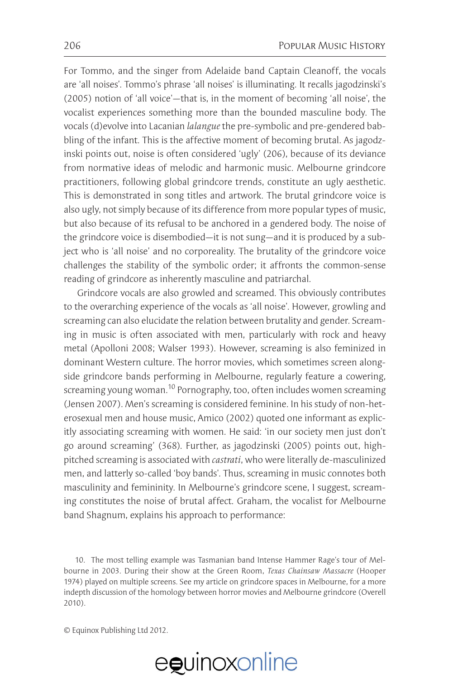For Tommo, and the singer from Adelaide band Captain Cleanoff, the vocals are 'all noises'. Tommo's phrase 'all noises' is illuminating. It recalls jagodzinski's (2005) notion of 'all voice'—that is, in the moment of becoming 'all noise', the vocalist experiences something more than the bounded masculine body. The vocals (d)evolve into Lacanian *lalangue* the pre-symbolic and pre-gendered babbling of the infant. This is the affective moment of becoming brutal. As jagodzinski points out, noise is often considered 'ugly' (206), because of its deviance from normative ideas of melodic and harmonic music. Melbourne grindcore practitioners, following global grindcore trends, constitute an ugly aesthetic. This is demonstrated in song titles and artwork. The brutal grindcore voice is also ugly, not simply because of its difference from more popular types of music, but also because of its refusal to be anchored in a gendered body. The noise of the grindcore voice is disembodied—it is not sung—and it is produced by a subject who is 'all noise' and no corporeality. The brutality of the grindcore voice challenges the stability of the symbolic order; it affronts the common-sense reading of grindcore as inherently masculine and patriarchal.

Grindcore vocals are also growled and screamed. This obviously contributes to the overarching experience of the vocals as 'all noise'. However, growling and screaming can also elucidate the relation between brutality and gender. Screaming in music is often associated with men, particularly with rock and heavy metal (Apolloni 2008; Walser 1993). However, screaming is also feminized in dominant Western culture. The horror movies, which sometimes screen alongside grindcore bands performing in Melbourne, regularly feature a cowering, screaming young woman.<sup>10</sup> Pornography, too, often includes women screaming (Jensen 2007). Men's screaming is considered feminine. In his study of non-heterosexual men and house music, Amico (2002) quoted one informant as explicitly associating screaming with women. He said: 'in our society men just don't go around screaming' (368). Further, as jagodzinski (2005) points out, highpitched screaming is associated with *castrati*, who were literally de-masculinized men, and latterly so-called 'boy bands'. Thus, screaming in music connotes both masculinity and femininity. In Melbourne's grindcore scene, I suggest, screaming constitutes the noise of brutal affect. Graham, the vocalist for Melbourne band Shagnum, explains his approach to performance:

10. The most telling example was Tasmanian band Intense Hammer Rage's tour of Melbourne in 2003. During their show at the Green Room, *Texas Chainsaw Massacre* (Hooper 1974) played on multiple screens. See my article on grindcore spaces in Melbourne, for a more indepth discussion of the homology between horror movies and Melbourne grindcore (Overell 2010).

© Equinox Publishing Ltd 2012.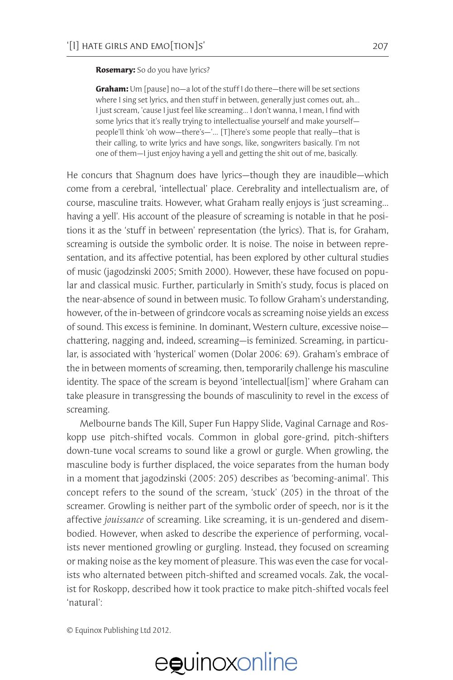### **Rosemary:** So do you have lyrics?

**Graham:** Um [pause] no—a lot of the stuff I do there—there will be set sections where I sing set lyrics, and then stuff in between, generally just comes out, ah... I just scream, 'cause I just feel like screaming… I don't wanna, I mean, I find with some lyrics that it's really trying to intellectualise yourself and make yourself people'll think 'oh wow—there's—'… [T]here's some people that really—that is their calling, to write lyrics and have songs, like, songwriters basically. I'm not one of them—I just enjoy having a yell and getting the shit out of me, basically.

He concurs that Shagnum does have lyrics—though they are inaudible—which come from a cerebral, 'intellectual' place. Cerebrality and intellectualism are, of course, masculine traits. However, what Graham really enjoys is 'just screaming… having a yell'. His account of the pleasure of screaming is notable in that he positions it as the 'stuff in between' representation (the lyrics). That is, for Graham, screaming is outside the symbolic order. It is noise. The noise in between representation, and its affective potential, has been explored by other cultural studies of music (jagodzinski 2005; Smith 2000). However, these have focused on popular and classical music. Further, particularly in Smith's study, focus is placed on the near-absence of sound in between music. To follow Graham's understanding, however, of the in-between of grindcore vocals as screaming noise yields an excess of sound. This excess is feminine. In dominant, Western culture, excessive noise chattering, nagging and, indeed, screaming—is feminized. Screaming, in particular, is associated with 'hysterical' women (Dolar 2006: 69). Graham's embrace of the in between moments of screaming, then, temporarily challenge his masculine identity. The space of the scream is beyond 'intellectual[ism]' where Graham can take pleasure in transgressing the bounds of masculinity to revel in the excess of screaming.

Melbourne bands The Kill, Super Fun Happy Slide, Vaginal Carnage and Roskopp use pitch-shifted vocals. Common in global gore-grind, pitch-shifters down-tune vocal screams to sound like a growl or gurgle. When growling, the masculine body is further displaced, the voice separates from the human body in a moment that jagodzinski (2005: 205) describes as 'becoming-animal'. This concept refers to the sound of the scream, 'stuck' (205) in the throat of the screamer. Growling is neither part of the symbolic order of speech, nor is it the affective *jouissance* of screaming. Like screaming, it is un-gendered and disembodied. However, when asked to describe the experience of performing, vocalists never mentioned growling or gurgling. Instead, they focused on screaming or making noise as the key moment of pleasure. This was even the case for vocalists who alternated between pitch-shifted and screamed vocals. Zak, the vocalist for Roskopp, described how it took practice to make pitch-shifted vocals feel 'natural':

© Equinox Publishing Ltd 2012.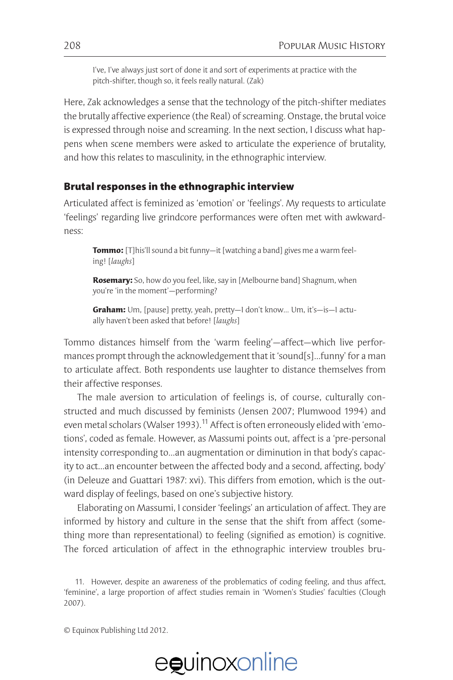I've, I've always just sort of done it and sort of experiments at practice with the pitch-shifter, though so, it feels really natural. (Zak)

Here, Zak acknowledges a sense that the technology of the pitch-shifter mediates the brutally affective experience (the Real) of screaming. Onstage, the brutal voice is expressed through noise and screaming. In the next section, I discuss what happens when scene members were asked to articulate the experience of brutality, and how this relates to masculinity, in the ethnographic interview.

### Brutal responses in the ethnographic interview

Articulated affect is feminized as 'emotion' or 'feelings'. My requests to articulate 'feelings' regarding live grindcore performances were often met with awkwardness:

**Tommo:** [T]his'll sound a bit funny—it [watching a band] gives me a warm feeling! [*laughs*]

**Rosemary:** So, how do you feel, like, say in [Melbourne band] Shagnum, when you're 'in the moment'—performing?

**Graham:** Um, [pause] pretty, yeah, pretty—I don't know… Um, it's—is—I actually haven't been asked that before! [*laughs*]

Tommo distances himself from the 'warm feeling'—affect—which live performances prompt through the acknowledgement that it 'sound[s]…funny' for a man to articulate affect. Both respondents use laughter to distance themselves from their affective responses.

The male aversion to articulation of feelings is, of course, culturally constructed and much discussed by feminists (Jensen 2007; Plumwood 1994) and even metal scholars (Walser 1993).<sup>11</sup> Affect is often erroneously elided with 'emotions', coded as female. However, as Massumi points out, affect is a 'pre-personal intensity corresponding to…an augmentation or diminution in that body's capacity to act…an encounter between the affected body and a second, affecting, body' (in Deleuze and Guattari 1987: xvi). This differs from emotion, which is the outward display of feelings, based on one's subjective history.

Elaborating on Massumi, I consider 'feelings' an articulation of affect. They are informed by history and culture in the sense that the shift from affect (something more than representational) to feeling (signified as emotion) is cognitive. The forced articulation of affect in the ethnographic interview troubles bru-

© Equinox Publishing Ltd 2012.

<sup>11.</sup> However, despite an awareness of the problematics of coding feeling, and thus affect, 'feminine', a large proportion of affect studies remain in 'Women's Studies' faculties (Clough 2007).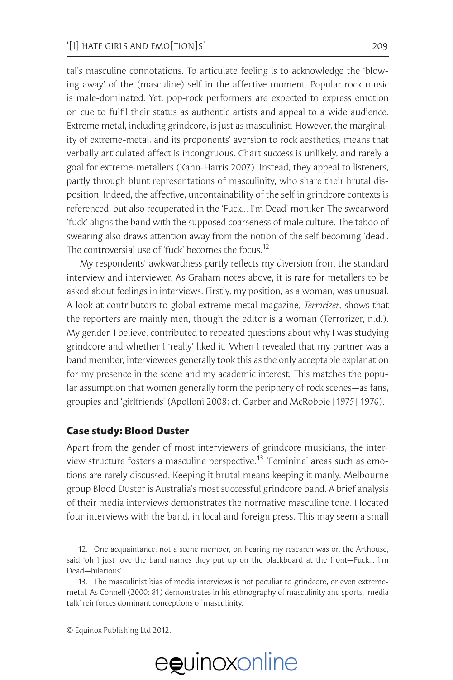tal's masculine connotations. To articulate feeling is to acknowledge the 'blowing away' of the (masculine) self in the affective moment. Popular rock music is male-dominated. Yet, pop-rock performers are expected to express emotion on cue to fulfil their status as authentic artists and appeal to a wide audience. Extreme metal, including grindcore, is just as masculinist. However, the marginality of extreme-metal, and its proponents' aversion to rock aesthetics, means that verbally articulated affect is incongruous. Chart success is unlikely, and rarely a goal for extreme-metallers (Kahn-Harris 2007). Instead, they appeal to listeners, partly through blunt representations of masculinity, who share their brutal disposition. Indeed, the affective, uncontainability of the self in grindcore contexts is referenced, but also recuperated in the 'Fuck… I'm Dead' moniker. The swearword 'fuck' aligns the band with the supposed coarseness of male culture. The taboo of swearing also draws attention away from the notion of the self becoming 'dead'. The controversial use of 'fuck' becomes the focus.<sup>12</sup>

My respondents' awkwardness partly reflects my diversion from the standard interview and interviewer. As Graham notes above, it is rare for metallers to be asked about feelings in interviews. Firstly, my position, as a woman, was unusual. A look at contributors to global extreme metal magazine, *Terrorizer*, shows that the reporters are mainly men, though the editor is a woman (Terrorizer, n.d.). My gender, I believe, contributed to repeated questions about why I was studying grindcore and whether I 'really' liked it. When I revealed that my partner was a band member, interviewees generally took this as the only acceptable explanation for my presence in the scene and my academic interest. This matches the popular assumption that women generally form the periphery of rock scenes—as fans, groupies and 'girlfriends' (Apolloni 2008; cf. Garber and McRobbie [1975] 1976).

### Case study: Blood Duster

Apart from the gender of most interviewers of grindcore musicians, the interview structure fosters a masculine perspective.<sup>13</sup> 'Feminine' areas such as emotions are rarely discussed. Keeping it brutal means keeping it manly. Melbourne group Blood Duster is Australia's most successful grindcore band. A brief analysis of their media interviews demonstrates the normative masculine tone. I located four interviews with the band, in local and foreign press. This may seem a small

12. One acquaintance, not a scene member, on hearing my research was on the Arthouse, said 'oh I just love the band names they put up on the blackboard at the front—Fuck… I'm Dead—hilarious'.

13. The masculinist bias of media interviews is not peculiar to grindcore, or even extrememetal. As Connell (2000: 81) demonstrates in his ethnography of masculinity and sports, 'media talk' reinforces dominant conceptions of masculinity.

© Equinox Publishing Ltd 2012.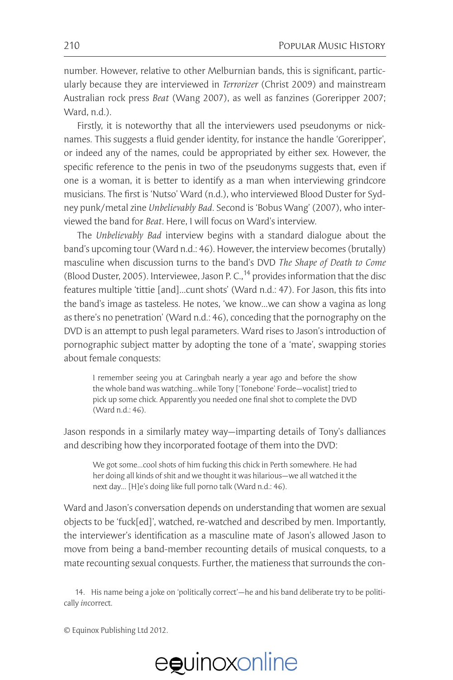number. However, relative to other Melburnian bands, this is significant, particularly because they are interviewed in *Terrorizer* (Christ 2009) and mainstream Australian rock press *Beat* (Wang 2007), as well as fanzines (Goreripper 2007; Ward, n.d.).

Firstly, it is noteworthy that all the interviewers used pseudonyms or nicknames. This suggests a fluid gender identity, for instance the handle 'Goreripper', or indeed any of the names, could be appropriated by either sex. However, the specific reference to the penis in two of the pseudonyms suggests that, even if one is a woman, it is better to identify as a man when interviewing grindcore musicians. The first is 'Nutso' Ward (n.d.), who interviewed Blood Duster for Sydney punk/metal zine *Unbelievably Bad*. Second is 'Bobus Wang' (2007), who interviewed the band for *Beat*. Here, I will focus on Ward's interview.

The *Unbelievably Bad* interview begins with a standard dialogue about the band's upcoming tour (Ward n.d.: 46). However, the interview becomes (brutally) masculine when discussion turns to the band's DVD *The Shape of Death to Come*  (Blood Duster, 2005). Interviewee, Jason P. C.,<sup>14</sup> provides information that the disc features multiple 'tittie [and]…cunt shots' (Ward n.d.: 47). For Jason, this fits into the band's image as tasteless. He notes, 'we know…we can show a vagina as long as there's no penetration' (Ward n.d.: 46), conceding that the pornography on the DVD is an attempt to push legal parameters. Ward rises to Jason's introduction of pornographic subject matter by adopting the tone of a 'mate', swapping stories about female conquests:

I remember seeing you at Caringbah nearly a year ago and before the show the whole band was watching…while Tony ['Tonebone' Forde—vocalist] tried to pick up some chick. Apparently you needed one final shot to complete the DVD (Ward n.d.: 46).

Jason responds in a similarly matey way—imparting details of Tony's dalliances and describing how they incorporated footage of them into the DVD:

We got some…cool shots of him fucking this chick in Perth somewhere. He had her doing all kinds of shit and we thought it was hilarious—we all watched it the next day… [H]e's doing like full porno talk (Ward n.d.: 46).

Ward and Jason's conversation depends on understanding that women are sexual objects to be 'fuck[ed]', watched, re-watched and described by men. Importantly, the interviewer's identification as a masculine mate of Jason's allowed Jason to move from being a band-member recounting details of musical conquests, to a mate recounting sexual conquests. Further, the matieness that surrounds the con-

14. His name being a joke on 'politically correct'—he and his band deliberate try to be politically *in*correct.

© Equinox Publishing Ltd 2012.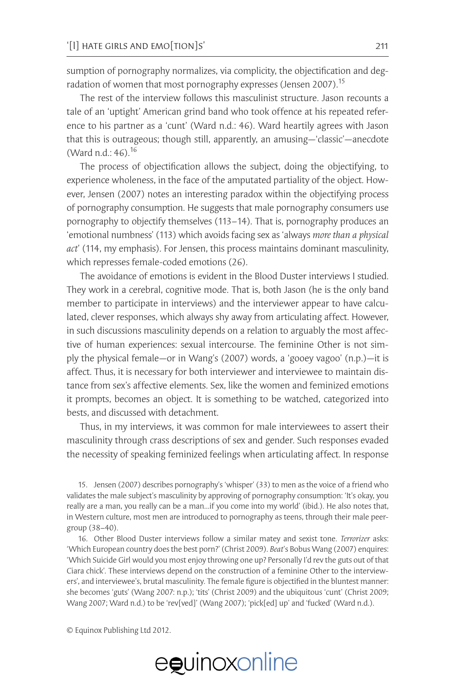sumption of pornography normalizes, via complicity, the objectification and degradation of women that most pornography expresses (Jensen 2007).<sup>15</sup>

The rest of the interview follows this masculinist structure. Jason recounts a tale of an 'uptight' American grind band who took offence at his repeated reference to his partner as a 'cunt' (Ward n.d.: 46). Ward heartily agrees with Jason that this is outrageous; though still, apparently, an amusing—'classic'—anecdote (Ward n.d.: 46).16

The process of objectification allows the subject, doing the objectifying, to experience wholeness, in the face of the amputated partiality of the object. However, Jensen (2007) notes an interesting paradox within the objectifying process of pornography consumption. He suggests that male pornography consumers use pornography to objectify themselves (113–14). That is, pornography produces an 'emotional numbness' (113) which avoids facing sex as 'always *more than a physical act*' (114, my emphasis). For Jensen, this process maintains dominant masculinity, which represses female-coded emotions (26).

The avoidance of emotions is evident in the Blood Duster interviews I studied. They work in a cerebral, cognitive mode. That is, both Jason (he is the only band member to participate in interviews) and the interviewer appear to have calculated, clever responses, which always shy away from articulating affect. However, in such discussions masculinity depends on a relation to arguably the most affective of human experiences: sexual intercourse. The feminine Other is not simply the physical female—or in Wang's (2007) words, a 'gooey vagoo' (n.p.)—it is affect. Thus, it is necessary for both interviewer and interviewee to maintain distance from sex's affective elements. Sex, like the women and feminized emotions it prompts, becomes an object. It is something to be watched, categorized into bests, and discussed with detachment.

Thus, in my interviews, it was common for male interviewees to assert their masculinity through crass descriptions of sex and gender. Such responses evaded the necessity of speaking feminized feelings when articulating affect. In response

15. Jensen (2007) describes pornography's 'whisper' (33) to men as the voice of a friend who validates the male subject's masculinity by approving of pornography consumption: 'It's okay, you really are a man, you really can be a man…if you come into my world' (ibid.). He also notes that, in Western culture, most men are introduced to pornography as teens, through their male peergroup (38–40).

16. Other Blood Duster interviews follow a similar matey and sexist tone. *Terrorizer* asks: 'Which European country does the best porn?' (Christ 2009). *Beat*'s Bobus Wang (2007) enquires: 'Which Suicide Girl would you most enjoy throwing one up? Personally I'd rev the guts out of that Ciara chick'. These interviews depend on the construction of a feminine Other to the interviewers', and interviewee's, brutal masculinity. The female figure is objectified in the bluntest manner: she becomes 'guts' (Wang 2007: n.p.); 'tits' (Christ 2009) and the ubiquitous 'cunt' (Christ 2009; Wang 2007; Ward n.d.) to be 'rev[ved]' (Wang 2007); 'pick[ed] up' and 'fucked' (Ward n.d.).

© Equinox Publishing Ltd 2012.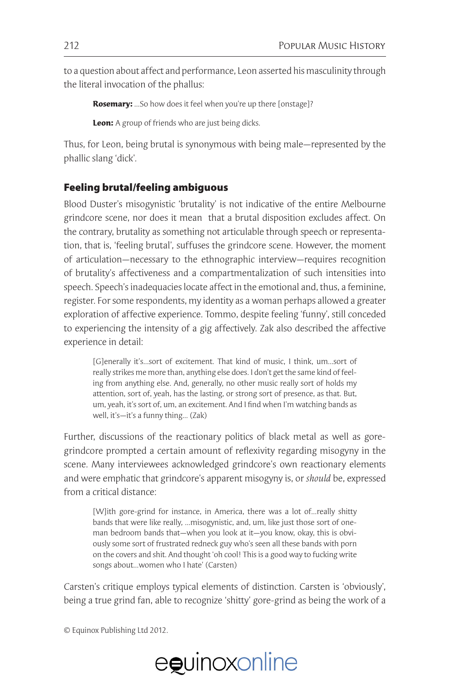to a question about affect and performance, Leon asserted his masculinity through the literal invocation of the phallus:

**Rosemary:** …So how does it feel when you're up there [onstage]?

**Leon:** A group of friends who are just being dicks.

Thus, for Leon, being brutal is synonymous with being male—represented by the phallic slang 'dick'.

## Feeling brutal/feeling ambiguous

Blood Duster's misogynistic 'brutality' is not indicative of the entire Melbourne grindcore scene, nor does it mean that a brutal disposition excludes affect. On the contrary, brutality as something not articulable through speech or representation, that is, 'feeling brutal', suffuses the grindcore scene. However, the moment of articulation—necessary to the ethnographic interview—requires recognition of brutality's affectiveness and a compartmentalization of such intensities into speech. Speech's inadequacies locate affect in the emotional and, thus, a feminine, register. For some respondents, my identity as a woman perhaps allowed a greater exploration of affective experience. Tommo, despite feeling 'funny', still conceded to experiencing the intensity of a gig affectively. Zak also described the affective experience in detail:

[G]enerally it's…sort of excitement. That kind of music, I think, um…sort of really strikes me more than, anything else does. I don't get the same kind of feeling from anything else. And, generally, no other music really sort of holds my attention, sort of, yeah, has the lasting, or strong sort of presence, as that. But, um, yeah, it's sort of, um, an excitement. And I find when I'm watching bands as well, it's—it's a funny thing… (Zak)

Further, discussions of the reactionary politics of black metal as well as goregrindcore prompted a certain amount of reflexivity regarding misogyny in the scene. Many interviewees acknowledged grindcore's own reactionary elements and were emphatic that grindcore's apparent misogyny is, or *should* be, expressed from a critical distance:

[W]ith gore-grind for instance, in America, there was a lot of…really shitty bands that were like really, …misogynistic, and, um, like just those sort of oneman bedroom bands that—when you look at it—you know, okay, this is obviously some sort of frustrated redneck guy who's seen all these bands with porn on the covers and shit. And thought 'oh cool! This is a good way to fucking write songs about…women who I hate' (Carsten)

Carsten's critique employs typical elements of distinction. Carsten is 'obviously', being a true grind fan, able to recognize 'shitty' gore-grind as being the work of a

© Equinox Publishing Ltd 2012.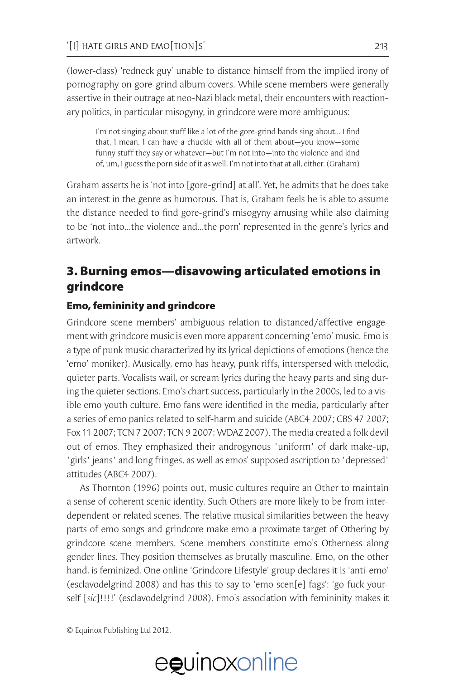(lower-class) 'redneck guy' unable to distance himself from the implied irony of pornography on gore-grind album covers. While scene members were generally assertive in their outrage at neo-Nazi black metal, their encounters with reactionary politics, in particular misogyny, in grindcore were more ambiguous:

I'm not singing about stuff like a lot of the gore-grind bands sing about… I find that, I mean, I can have a chuckle with all of them about—you know—some funny stuff they say or whatever—but I'm not into—into the violence and kind of, um, I guess the porn side of it as well, I'm not into that at all, either. (Graham)

Graham asserts he is 'not into [gore-grind] at all'. Yet, he admits that he does take an interest in the genre as humorous. That is, Graham feels he is able to assume the distance needed to find gore-grind's misogyny amusing while also claiming to be 'not into…the violence and…the porn' represented in the genre's lyrics and artwork.

## 3. Burning emos—disavowing articulated emotions in grindcore

## Emo, femininity and grindcore

Grindcore scene members' ambiguous relation to distanced/affective engagement with grindcore music is even more apparent concerning 'emo' music. Emo is a type of punk music characterized by its lyrical depictions of emotions (hence the 'emo' moniker). Musically, emo has heavy, punk riffs, interspersed with melodic, quieter parts. Vocalists wail, or scream lyrics during the heavy parts and sing during the quieter sections. Emo's chart success, particularly in the 2000s, led to a visible emo youth culture. Emo fans were identified in the media, particularly after a series of emo panics related to self-harm and suicide (ABC4 2007; CBS 47 2007; Fox 11 2007; TCN 7 2007; TCN 9 2007; WDAZ 2007). The media created a folk devil out of emos. They emphasized their androgynous 'uniform' of dark make-up, 'girls' jeans' and long fringes, as well as emos' supposed ascription to 'depressed' attitudes (ABC4 2007).

As Thornton (1996) points out, music cultures require an Other to maintain a sense of coherent scenic identity. Such Others are more likely to be from interdependent or related scenes. The relative musical similarities between the heavy parts of emo songs and grindcore make emo a proximate target of Othering by grindcore scene members. Scene members constitute emo's Otherness along gender lines. They position themselves as brutally masculine. Emo, on the other hand, is feminized. One online 'Grindcore Lifestyle' group declares it is 'anti-emo' (esclavodelgrind 2008) and has this to say to 'emo scen[e] fags': 'go fuck yourself [*sic*]!!!!' (esclavodelgrind 2008). Emo's association with femininity makes it

© Equinox Publishing Ltd 2012.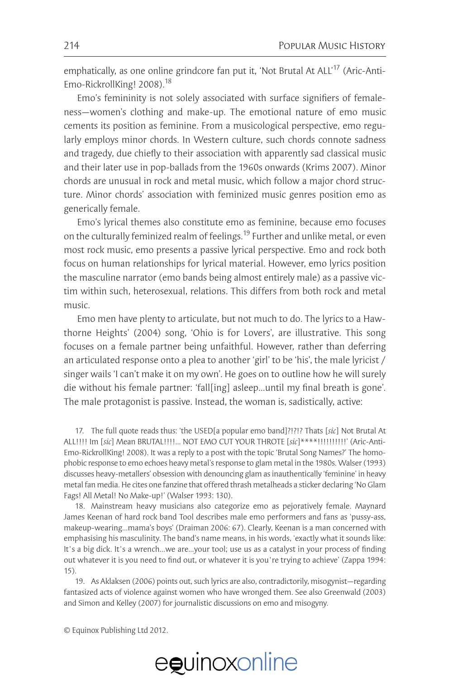emphatically, as one online grindcore fan put it, 'Not Brutal At ALL'<sup>17</sup> (Aric-Anti-Emo-RickrollKing! 2008).18

Emo's femininity is not solely associated with surface signifiers of femaleness—women's clothing and make-up. The emotional nature of emo music cements its position as feminine. From a musicological perspective, emo regularly employs minor chords. In Western culture, such chords connote sadness and tragedy, due chiefly to their association with apparently sad classical music and their later use in pop-ballads from the 1960s onwards (Krims 2007). Minor chords are unusual in rock and metal music, which follow a major chord structure. Minor chords' association with feminized music genres position emo as generically female.

Emo's lyrical themes also constitute emo as feminine, because emo focuses on the culturally feminized realm of feelings.<sup>19</sup> Further and unlike metal, or even most rock music, emo presents a passive lyrical perspective. Emo and rock both focus on human relationships for lyrical material. However, emo lyrics position the masculine narrator (emo bands being almost entirely male) as a passive victim within such, heterosexual, relations. This differs from both rock and metal music.

Emo men have plenty to articulate, but not much to do. The lyrics to a Hawthorne Heights' (2004) song, 'Ohio is for Lovers', are illustrative. This song focuses on a female partner being unfaithful. However, rather than deferring an articulated response onto a plea to another 'girl' to be 'his', the male lyricist / singer wails 'I can't make it on my own'. He goes on to outline how he will surely die without his female partner: 'fall[ing] asleep…until my final breath is gone'. The male protagonist is passive. Instead, the woman is, sadistically, active:

17. The full quote reads thus: 'the USED[a popular emo band]?!?!? Thats [*sic*] Not Brutal At ALL!!!! Im [*sic*] Mean BRUTAL!!!!… NOT EMO CUT YOUR THROTE [*sic*]\*\*\*\*!!!!!!!!!!' (Aric-Anti-Emo-RickrollKing! 2008). It was a reply to a post with the topic 'Brutal Song Names?' The homophobic response to emo echoes heavy metal's response to glam metal in the 1980s. Walser (1993) discusses heavy-metallers' obsession with denouncing glam as inauthentically 'feminine' in heavy metal fan media. He cites one fanzine that offered thrash metalheads a sticker declaring 'No Glam Fags! All Metal! No Make-up!' (Walser 1993: 130).

18. Mainstream heavy musicians also categorize emo as pejoratively female. Maynard James Keenan of hard rock band Tool describes male emo performers and fans as 'pussy-ass, makeup-wearing…mama's boys' (Draiman 2006: 67). Clearly, Keenan is a man concerned with emphasising his masculinity. The band's name means, in his words, 'exactly what it sounds like: It's a big dick. It's a wrench…we are…your tool; use us as a catalyst in your process of finding out whatever it is you need to find out, or whatever it is you're trying to achieve' (Zappa 1994: 15).

19. As Aklaksen (2006) points out, such lyrics are also, contradictorily, misogynist—regarding fantasized acts of violence against women who have wronged them. See also Greenwald (2003) and Simon and Kelley (2007) for journalistic discussions on emo and misogyny.

© Equinox Publishing Ltd 2012.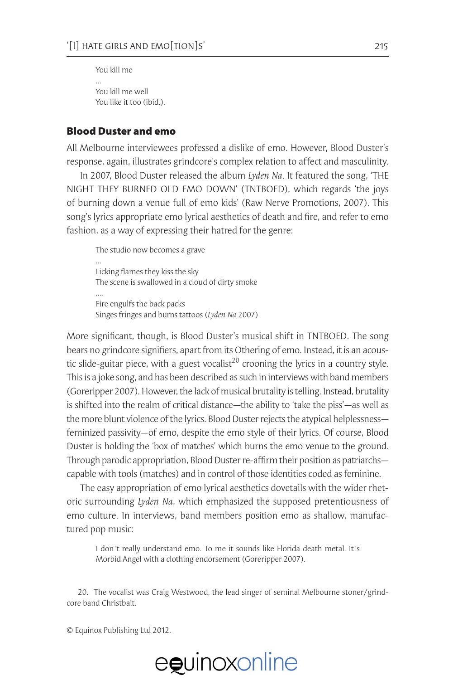You kill me … You kill me well You like it too (ibid.).

### Blood Duster and emo

All Melbourne interviewees professed a dislike of emo. However, Blood Duster's response, again, illustrates grindcore's complex relation to affect and masculinity.

In 2007, Blood Duster released the album *Lyden Na*. It featured the song, 'THE NIGHT THEY BURNED OLD EMO DOWN' (TNTBOED), which regards 'the joys of burning down a venue full of emo kids' (Raw Nerve Promotions, 2007). This song's lyrics appropriate emo lyrical aesthetics of death and fire, and refer to emo fashion, as a way of expressing their hatred for the genre:

The studio now becomes a grave … Licking flames they kiss the sky The scene is swallowed in a cloud of dirty smoke …. Fire engulfs the back packs Singes fringes and burns tattoos (*Lyden Na* 2007)

More significant, though, is Blood Duster's musical shift in TNTBOED. The song bears no grindcore signifiers, apart from its Othering of emo. Instead, it is an acoustic slide-guitar piece, with a guest vocalist<sup>20</sup> crooning the lyrics in a country style. This is a joke song, and has been described as such in interviews with band members (Goreripper 2007). However, the lack of musical brutality is telling. Instead, brutality is shifted into the realm of critical distance—the ability to 'take the piss'—as well as the more blunt violence of the lyrics. Blood Duster rejects the atypical helplessness feminized passivity—of emo, despite the emo style of their lyrics. Of course, Blood Duster is holding the 'box of matches' which burns the emo venue to the ground. Through parodic appropriation, Blood Duster re-affirm their position as patriarchs capable with tools (matches) and in control of those identities coded as feminine.

The easy appropriation of emo lyrical aesthetics dovetails with the wider rhetoric surrounding *Lyden Na*, which emphasized the supposed pretentiousness of emo culture. In interviews, band members position emo as shallow, manufactured pop music:

I don't really understand emo. To me it sounds like Florida death metal. It's Morbid Angel with a clothing endorsement (Goreripper 2007).

20. The vocalist was Craig Westwood, the lead singer of seminal Melbourne stoner/grindcore band Christbait.

© Equinox Publishing Ltd 2012.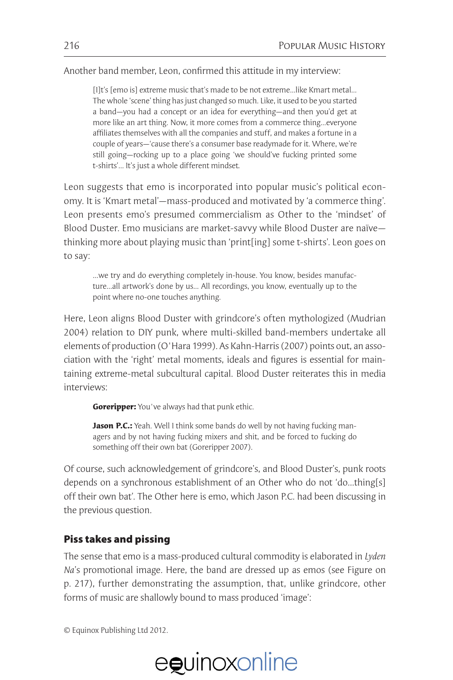Another band member, Leon, confirmed this attitude in my interview:

[I]t's [emo is] extreme music that's made to be not extreme...like Kmart metal... The whole 'scene' thing has just changed so much. Like, it used to be you started a band—you had a concept or an idea for everything—and then you'd get at more like an art thing. Now, it more comes from a commerce thing…everyone affiliates themselves with all the companies and stuff, and makes a fortune in a couple of years—'cause there's a consumer base readymade for it. Where, we're still going—rocking up to a place going 'we should've fucking printed some t-shirts'… It's just a whole different mindset*.*

Leon suggests that emo is incorporated into popular music's political economy. It is 'Kmart metal'—mass-produced and motivated by 'a commerce thing'. Leon presents emo's presumed commercialism as Other to the 'mindset' of Blood Duster. Emo musicians are market-savvy while Blood Duster are naïve thinking more about playing music than 'print[ing] some t-shirts'. Leon goes on to say:

…we try and do everything completely in-house. You know, besides manufacture…all artwork's done by us… All recordings, you know, eventually up to the point where no-one touches anything.

Here, Leon aligns Blood Duster with grindcore's often mythologized (Mudrian 2004) relation to DIY punk, where multi-skilled band-members undertake all elements of production (O'Hara 1999). As Kahn-Harris (2007) points out, an association with the 'right' metal moments, ideals and figures is essential for maintaining extreme-metal subcultural capital. Blood Duster reiterates this in media interviews:

**Goreripper:** You've always had that punk ethic.

**Jason P.C.:** Yeah. Well I think some bands do well by not having fucking managers and by not having fucking mixers and shit, and be forced to fucking do something off their own bat (Goreripper 2007).

Of course, such acknowledgement of grindcore's, and Blood Duster's, punk roots depends on a synchronous establishment of an Other who do not 'do…thing[s] off their own bat'. The Other here is emo, which Jason P.C. had been discussing in the previous question.

### Piss takes and pissing

The sense that emo is a mass-produced cultural commodity is elaborated in *Lyden Na*'s promotional image. Here, the band are dressed up as emos (see Figure on p. 217), further demonstrating the assumption, that, unlike grindcore, other forms of music are shallowly bound to mass produced 'image':

© Equinox Publishing Ltd 2012.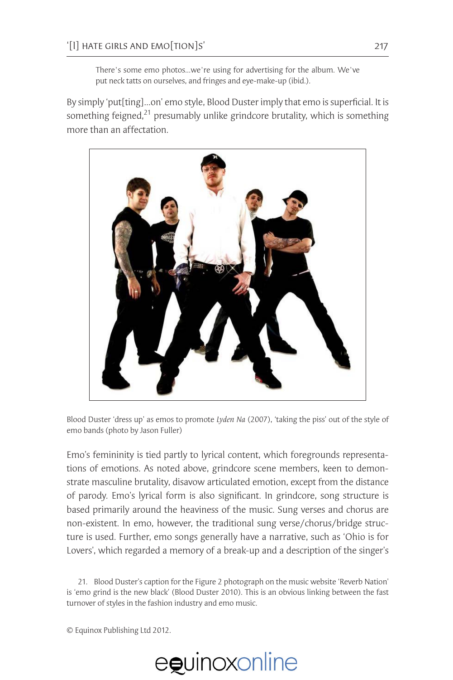There's some emo photos…we're using for advertising for the album. We've put neck tatts on ourselves, and fringes and eye-make-up (ibid.).

By simply 'put[ting]…on' emo style, Blood Duster imply that emo is superficial. It is something feigned, $^{21}$  presumably unlike grindcore brutality, which is something more than an affectation.



Blood Duster 'dress up' as emos to promote *Lyden Na* (2007), 'taking the piss' out of the style of emo bands (photo by Jason Fuller)

Emo's femininity is tied partly to lyrical content, which foregrounds representations of emotions. As noted above, grindcore scene members, keen to demonstrate masculine brutality, disavow articulated emotion, except from the distance of parody. Emo's lyrical form is also significant. In grindcore, song structure is based primarily around the heaviness of the music. Sung verses and chorus are non-existent. In emo, however, the traditional sung verse/chorus/bridge structure is used. Further, emo songs generally have a narrative, such as 'Ohio is for Lovers', which regarded a memory of a break-up and a description of the singer's

21. Blood Duster's caption for the Figure 2 photograph on the music website 'Reverb Nation' is 'emo grind is the new black' (Blood Duster 2010). This is an obvious linking between the fast turnover of styles in the fashion industry and emo music.

© Equinox Publishing Ltd 2012.

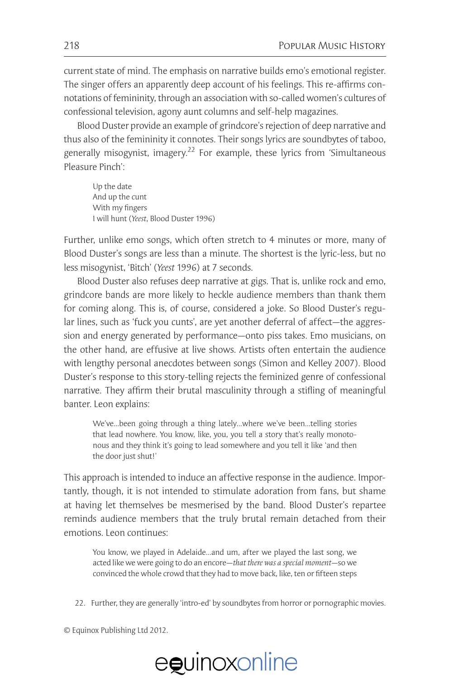current state of mind. The emphasis on narrative builds emo's emotional register. The singer offers an apparently deep account of his feelings. This re-affirms connotations of femininity, through an association with so-called women's cultures of confessional television, agony aunt columns and self-help magazines.

Blood Duster provide an example of grindcore's rejection of deep narrative and thus also of the femininity it connotes. Their songs lyrics are soundbytes of taboo, generally misogynist, imagery.<sup>22</sup> For example, these lyrics from 'Simultaneous' Pleasure Pinch':

Up the date And up the cunt With my fingers I will hunt (*Yeest*, Blood Duster 1996)

Further, unlike emo songs, which often stretch to 4 minutes or more, many of Blood Duster's songs are less than a minute. The shortest is the lyric-less, but no less misogynist, 'Bitch' (*Yeest* 1996) at 7 seconds.

Blood Duster also refuses deep narrative at gigs. That is, unlike rock and emo, grindcore bands are more likely to heckle audience members than thank them for coming along. This is, of course, considered a joke. So Blood Duster's regular lines, such as 'fuck you cunts', are yet another deferral of affect—the aggression and energy generated by performance—onto piss takes. Emo musicians, on the other hand, are effusive at live shows. Artists often entertain the audience with lengthy personal anecdotes between songs (Simon and Kelley 2007). Blood Duster's response to this story-telling rejects the feminized genre of confessional narrative. They affirm their brutal masculinity through a stifling of meaningful banter. Leon explains:

We've…been going through a thing lately…where we've been…telling stories that lead nowhere. You know, like, you, you tell a story that's really monotonous and they think it's going to lead somewhere and you tell it like 'and then the door just shut!'

This approach is intended to induce an affective response in the audience. Importantly, though, it is not intended to stimulate adoration from fans, but shame at having let themselves be mesmerised by the band. Blood Duster's repartee reminds audience members that the truly brutal remain detached from their emotions. Leon continues:

You know, we played in Adelaide…and um, after we played the last song, we acted like we were going to do an encore—*that there was a special moment*—so we convinced the whole crowd that they had to move back, like, ten or fifteen steps

22. Further, they are generally 'intro-ed' by soundbytes from horror or pornographic movies.

© Equinox Publishing Ltd 2012.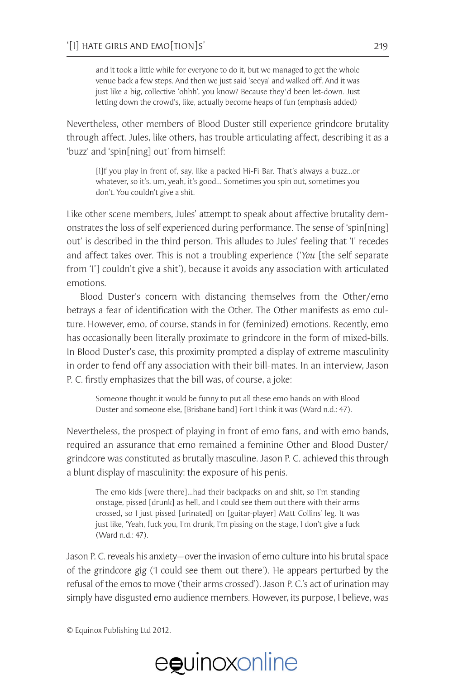and it took a little while for everyone to do it, but we managed to get the whole venue back a few steps. And then we just said 'seeya' and walked off. And it was just like a big, collective 'ohhh', you know? Because they'd been let-down. Just letting down the crowd's, like, actually become heaps of fun (emphasis added)

Nevertheless, other members of Blood Duster still experience grindcore brutality through affect. Jules, like others, has trouble articulating affect, describing it as a 'buzz' and 'spin[ning] out' from himself:

[I]f you play in front of, say, like a packed Hi-Fi Bar. That's always a buzz…or whatever, so it's, um, yeah, it's good… Sometimes you spin out, sometimes you don't. You couldn't give a shit.

Like other scene members, Jules' attempt to speak about affective brutality demonstrates the loss of self experienced during performance. The sense of 'spin[ning] out' is described in the third person. This alludes to Jules' feeling that 'I' recedes and affect takes over. This is not a troubling experience ('*You* [the self separate from 'I'] couldn't give a shit'), because it avoids any association with articulated emotions.

Blood Duster's concern with distancing themselves from the Other/emo betrays a fear of identification with the Other. The Other manifests as emo culture. However, emo, of course, stands in for (feminized) emotions. Recently, emo has occasionally been literally proximate to grindcore in the form of mixed-bills. In Blood Duster's case, this proximity prompted a display of extreme masculinity in order to fend off any association with their bill-mates. In an interview, Jason P. C. firstly emphasizes that the bill was, of course, a joke:

Someone thought it would be funny to put all these emo bands on with Blood Duster and someone else, [Brisbane band] Fort I think it was (Ward n.d.: 47).

Nevertheless, the prospect of playing in front of emo fans, and with emo bands, required an assurance that emo remained a feminine Other and Blood Duster/ grindcore was constituted as brutally masculine. Jason P. C. achieved this through a blunt display of masculinity: the exposure of his penis.

The emo kids [were there]…had their backpacks on and shit, so I'm standing onstage, pissed [drunk] as hell, and I could see them out there with their arms crossed, so I just pissed [urinated] on [guitar-player] Matt Collins' leg. It was just like, 'Yeah, fuck you, I'm drunk, I'm pissing on the stage, I don't give a fuck (Ward n.d.: 47).

Jason P. C. reveals his anxiety—over the invasion of emo culture into his brutal space of the grindcore gig ('I could see them out there'). He appears perturbed by the refusal of the emos to move ('their arms crossed'). Jason P. C.'s act of urination may simply have disgusted emo audience members. However, its purpose, I believe, was

© Equinox Publishing Ltd 2012.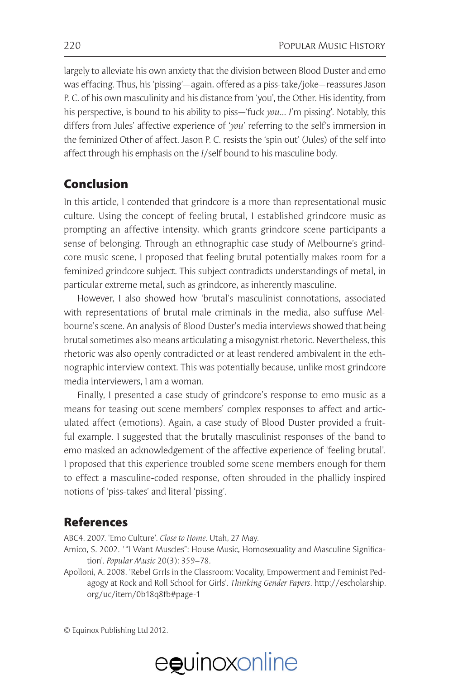largely to alleviate his own anxiety that the division between Blood Duster and emo was effacing. Thus, his 'pissing'—again, offered as a piss-take/joke—reassures Jason P. C. of his own masculinity and his distance from 'you', the Other. His identity, from his perspective, is bound to his ability to piss—'fuck *you*… *I*'m pissing'. Notably, this differs from Jules' affective experience of '*you*' referring to the self's immersion in the feminized Other of affect. Jason P. C. resists the 'spin out' (Jules) of the self into affect through his emphasis on the *I*/self bound to his masculine body.

## Conclusion

In this article, I contended that grindcore is a more than representational music culture. Using the concept of feeling brutal, I established grindcore music as prompting an affective intensity, which grants grindcore scene participants a sense of belonging. Through an ethnographic case study of Melbourne's grindcore music scene, I proposed that feeling brutal potentially makes room for a feminized grindcore subject. This subject contradicts understandings of metal, in particular extreme metal, such as grindcore, as inherently masculine.

However, I also showed how 'brutal's masculinist connotations, associated with representations of brutal male criminals in the media, also suffuse Melbourne's scene. An analysis of Blood Duster's media interviews showed that being brutal sometimes also means articulating a misogynist rhetoric. Nevertheless, this rhetoric was also openly contradicted or at least rendered ambivalent in the ethnographic interview context. This was potentially because, unlike most grindcore media interviewers, I am a woman.

Finally, I presented a case study of grindcore's response to emo music as a means for teasing out scene members' complex responses to affect and articulated affect (emotions). Again, a case study of Blood Duster provided a fruitful example. I suggested that the brutally masculinist responses of the band to emo masked an acknowledgement of the affective experience of 'feeling brutal'. I proposed that this experience troubled some scene members enough for them to effect a masculine-coded response, often shrouded in the phallicly inspired notions of 'piss-takes' and literal 'pissing'.

## References

ABC4. 2007. 'Emo Culture'. *Close to Home*. Utah, 27 May.

- Amico, S. 2002. '"I Want Muscles": House Music, Homosexuality and Masculine Signification'. *Popular Music* 20(3): 359–78.
- Apolloni, A. 2008. 'Rebel Grrls in the Classroom: Vocality, Empowerment and Feminist Pedagogy at Rock and Roll School for Girls'. *Thinking Gender Papers*. http://escholarship. org/uc/item/0b18q8fb#page-1

© Equinox Publishing Ltd 2012.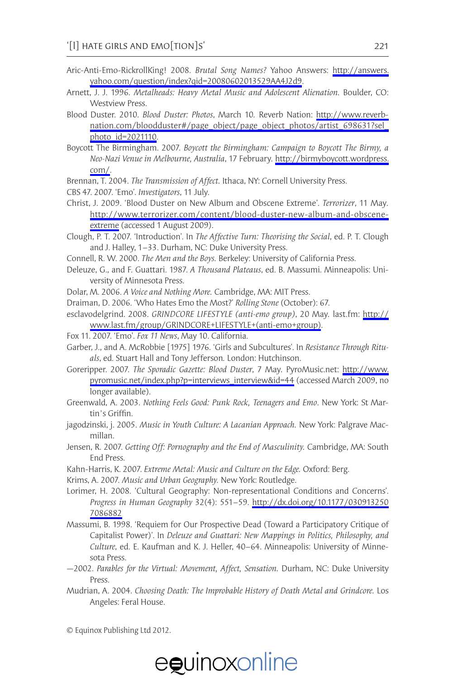- Aric-Anti-Emo-RickrollKing! 2008. *Brutal Song Names?* Yahoo Answers: [http://answers.](http://answers.yahoo.com/question/index?qid=20080602013529AA4J2d9) [yahoo.com/question/index?qid=20080602013529AA4J2d9](http://answers.yahoo.com/question/index?qid=20080602013529AA4J2d9).
- Arnett, J. J. 1996. *Metalheads: Heavy Metal Music and Adolescent Alienation.* Boulder, CO: Westview Press.
- Blood Duster. 2010. *Blood Duster: Photos*, March 10*.* Reverb Nation: [http://www.reverb](http://www.reverbnation.com/bloodduster#/page_object/page_object_photos/artist_698631?sel_photo_id=2021110)[nation.com/bloodduster#/page\\_object/page\\_object\\_photos/artist\\_698631?sel\\_](http://www.reverbnation.com/bloodduster#/page_object/page_object_photos/artist_698631?sel_photo_id=2021110) [photo\\_id=2021110](http://www.reverbnation.com/bloodduster#/page_object/page_object_photos/artist_698631?sel_photo_id=2021110).
- Boycott The Birmingham. 2007. *Boycott the Birmingham: Campaign to Boycott The Birmy, a Neo-Nazi Venue in Melbourne, Australia*, 17 February*.* [http://birmyboycott.wordpress.](http://birmyboycott.wordpress.com/) [com/](http://birmyboycott.wordpress.com/).
- Brennan, T. 2004. *The Transmission of Affect.* Ithaca, NY: Cornell University Press.
- CBS 47. 2007. 'Emo'. *Investigators*, 11 July.
- Christ, J. 2009. 'Blood Duster on New Album and Obscene Extreme'. *Terrorizer*, 11 May*.* [http://www.terrorizer.com/content/blood-duster-new-album-and-obscene](http://www.terrorizer.com/content/blood-duster-new-album-and-obscene-extreme)[extreme](http://www.terrorizer.com/content/blood-duster-new-album-and-obscene-extreme) (accessed 1 August 2009).
- Clough, P. T. 2007. 'Introduction'. In *The Affective Turn: Theorising the Social*, ed. P. T. Clough and J. Halley, 1–33. Durham, NC: Duke University Press.
- Connell, R. W. 2000. *The Men and the Boys.* Berkeley: University of California Press.
- Deleuze, G., and F. Guattari. 1987. *A Thousand Plateaus*, ed. B. Massumi. Minneapolis: University of Minnesota Press.
- Dolar, M. 2006. *A Voice and Nothing More.* Cambridge, MA: MIT Press.
- Draiman, D. 2006. 'Who Hates Emo the Most?' *Rolling Stone* (October): 67.
- esclavodelgrind. 2008. *GRINDCORE LIFESTYLE (anti-emo group)*, 20 May*.* last.fm: [http://](http://www.last.fm/group/GRINDCORE+LIFESTYLE+(anti-emo+group)) [www.last.fm/group/GRINDCORE+LIFESTYLE+\(anti-emo+group\).](http://www.last.fm/group/GRINDCORE+LIFESTYLE+(anti-emo+group))
- Fox 11. 2007. 'Emo'. *Fox 11 News*, May 10. California.
- Garber, J., and A. McRobbie [1975] 1976. 'Girls and Subcultures'. In *Resistance Through Rituals*, ed. Stuart Hall and Tony Jefferson*.* London: Hutchinson.
- Goreripper. 2007. *The Sporadic Gazette: Blood Duster*, 7 May*.* PyroMusic.net: [http://www.](http://www.pyromusic.net/index.php?p=interviews_interview&id=44) [pyromusic.net/index.php?p=interviews\\_interview&id=44](http://www.pyromusic.net/index.php?p=interviews_interview&id=44) (accessed March 2009, no longer available).
- Greenwald, A. 2003. *Nothing Feels Good: Punk Rock, Teenagers and Emo*. New York: St Martin's Griffin.
- jagodzinski, j. 2005. *Music in Youth Culture: A Lacanian Approach.* New York: Palgrave Macmillan.
- Jensen, R. 2007. *Getting Off: Pornography and the End of Masculinity.* Cambridge, MA: South End Press.
- Kahn-Harris, K. 2007. *Extreme Metal: Music and Culture on the Edge.* Oxford: Berg.
- Krims, A. 2007. *Music and Urban Geography.* New York: Routledge.

Lorimer, H. 2008. 'Cultural Geography: Non-representational Conditions and Concerns'. *Progress in Human Geography* 32(4): 551–59. [http://dx.doi.org/10.1177/030913250](http://dx.doi.org/10.1177/0309132507086882) [7086882](http://dx.doi.org/10.1177/0309132507086882)

- Massumi, B. 1998. 'Requiem for Our Prospective Dead (Toward a Participatory Critique of Capitalist Power)'. In *Deleuze and Guattari: New Mappings in Politics, Philosophy, and Culture*, ed. E. Kaufman and K. J. Heller, 40–64. Minneapolis: University of Minnesota Press.
- —2002. *Parables for the Virtual: Movement, Affect, Sensation.* Durham, NC: Duke University Press.
- Mudrian, A. 2004. *Choosing Death: The Improbable History of Death Metal and Grindcore.* Los Angeles: Feral House.

© Equinox Publishing Ltd 2012.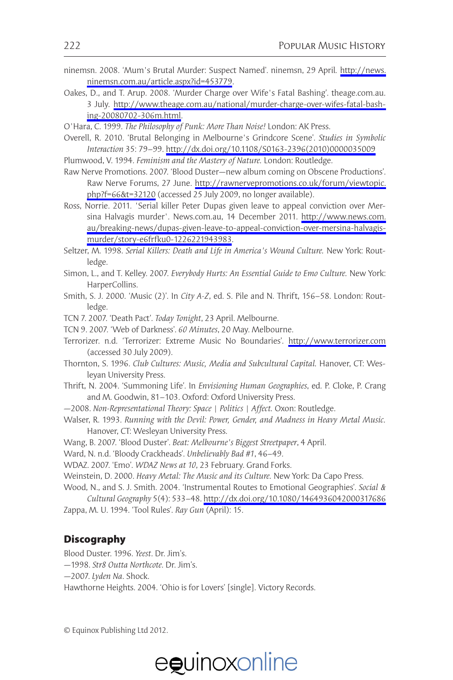- ninemsn. 2008. 'Mum's Brutal Murder: Suspect Named'. ninemsn, 29 April*.* [http://news.](http://news.ninemsn.com.au/article.aspx?id=453779) [ninemsn.com.au/article.aspx?id=453779.](http://news.ninemsn.com.au/article.aspx?id=453779)
- Oakes, D., and T. Arup. 2008. 'Murder Charge over Wife's Fatal Bashing'. theage.com.au. 3 July*.* [http://www.theage.com.au/national/murder-charge-over-wifes-fatal-bash](http://www.theage.com.au/national/murder-charge-over-wifes-fatal-bashing-20080702-306m.html)[ing-20080702-306m.html.](http://www.theage.com.au/national/murder-charge-over-wifes-fatal-bashing-20080702-306m.html)
- O'Hara, C. 1999. *The Philosophy of Punk: More Than Noise!* London: AK Press.
- Overell, R. 2010. 'Brutal Belonging in Melbourne's Grindcore Scene'. *Studies in Symbolic Interaction* 35: 79–99. [http://dx.doi.org/10.1108/S0163-2396\(2010\)0000035009](http://dx.doi.org/10.1108/S0163-2396%282010%290000035009)
- Plumwood, V. 1994. *Feminism and the Mastery of Nature.* London: Routledge.
- Raw Nerve Promotions. 2007. 'Blood Duster—new album coming on Obscene Productions'. Raw Nerve Forums, 27 June. [http://rawnervepromotions.co.uk/forum/viewtopic.](http://rawnervepromotions.co.uk/forum/viewtopic.php?f=66&t=32120) [php?f=66&t=32120](http://rawnervepromotions.co.uk/forum/viewtopic.php?f=66&t=32120) (accessed 25 July 2009, no longer available).
- Ross, Norrie. 2011. 'Serial killer Peter Dupas given leave to appeal conviction over Mersina Halvagis murder'. News.com.au, 14 December 2011. [http://www.news.com.](http://www.news.com.au/breaking-news/dupas-given-leave-to-appeal-conviction-over-mersina-halvagis-murder/story-e6frfku0-1226221943983) [au/breaking-news/dupas-given-leave-to-appeal-conviction-over-mersina-halvagis](http://www.news.com.au/breaking-news/dupas-given-leave-to-appeal-conviction-over-mersina-halvagis-murder/story-e6frfku0-1226221943983)[murder/story-e6frfku0-1226221943983.](http://www.news.com.au/breaking-news/dupas-given-leave-to-appeal-conviction-over-mersina-halvagis-murder/story-e6frfku0-1226221943983)
- Seltzer, M. 1998. *Serial Killers: Death and Life in America's Wound Culture.* New York: Routledge.
- Simon, L., and T. Kelley. 2007. *Everybody Hurts: An Essential Guide to Emo Culture.* New York: HarperCollins.
- Smith, S. J. 2000. 'Music (2)'. In *City A-Z*, ed. S. Pile and N. Thrift, 156–58. London: Routledge.
- TCN 7. 2007. 'Death Pact'. *Today Tonight*, 23 April. Melbourne.
- TCN 9. 2007. 'Web of Darkness'. *60 Minutes*, 20 May. Melbourne.
- Terrorizer. n.d. 'Terrorizer: Extreme Music No Boundaries'. <http://www.terrorizer.com> (accessed 30 July 2009).
- Thornton, S. 1996. *Club Cultures: Music, Media and Subcultural Capital.* Hanover, CT: Wesleyan University Press.
- Thrift, N. 2004. 'Summoning Life'. In *Envisioning Human Geographies*, ed. P. Cloke, P. Crang and M. Goodwin, 81–103. Oxford: Oxford University Press.
- —2008. *Non-Representational Theory: Space | Politics | Affect.* Oxon: Routledge.
- Walser, R. 1993. *Running with the Devil: Power, Gender, and Madness in Heavy Metal Music.* Hanover, CT: Wesleyan University Press.
- Wang, B. 2007. 'Blood Duster'. *Beat: Melbourne's Biggest Streetpaper*, 4 April.
- Ward, N. n.d. 'Bloody Crackheads'. *Unbelievably Bad #1*, 46–49.
- WDAZ. 2007. 'Emo'. *WDAZ News at 10*, 23 February. Grand Forks.
- Weinstein, D. 2000. *Heavy Metal: The Music and its Culture.* New York: Da Capo Press.
- Wood, N., and S. J. Smith. 2004. 'Instrumental Routes to Emotional Geographies'. *Social & Cultural Geography* 5(4): 533–48.<http://dx.doi.org/10.1080/1464936042000317686> Zappa, M. U. 1994. 'Tool Rules'. *Ray Gun* (April): 15.

### **Discography**

- Blood Duster. 1996. *Yeest*. Dr. Jim's.
- —1998. *Str8 Outta Northcote*. Dr. Jim's.
- —2007. *Lyden Na*. Shock.
- Hawthorne Heights. 2004. 'Ohio is for Lovers' [single]. Victory Records.

© Equinox Publishing Ltd 2012.